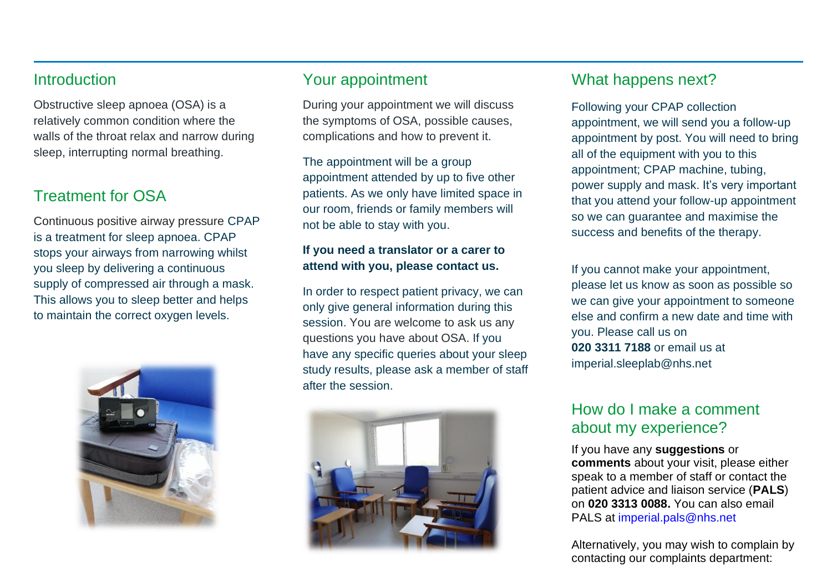## **Introduction**

Obstructive sleep apnoea (OSA) is a relatively common condition where the walls of the throat relax and narrow during sleep, interrupting normal breathing.

# Treatment for OSA

Continuous positive airway pressure CPAP is a treatment for sleep apnoea. CPAP stops your airways from narrowing whilst you sleep by delivering a continuous supply of compressed air through a mask. This allows you to sleep better and helps to maintain the correct oxygen levels.



## Your appointment

During your appointment we will discuss the symptoms of OSA, possible causes, complications and how to prevent it.

The appointment will be a group appointment attended by up to five other patients. As we only have limited space in our room, friends or family members will not be able to stay with you.

#### **If you need a translator or a carer to attend with you, please contact us.**

In order to respect patient privacy, we can only give general information during this session. You are welcome to ask us any questions you have about OSA. If you have any specific queries about your sleep study results, please ask a member of staff after the session.



# What happens next?

Following your CPAP collection appointment, we will send you a follow-up appointment by post. You will need to bring all of the equipment with you to this appointment; CPAP machine, tubing, power supply and mask. It's very important that you attend your follow-up appointment so we can guarantee and maximise the success and benefits of the therapy.

If you cannot make your appointment, please let us know as soon as possible so we can give your appointment to someone else and confirm a new date and time with you. Please call us on **020 3311 7188** or email us at [imperial.sleeplab@nhs.net](mailto:imperial.sleeplab@nhs.net) 

# How do I make a comment about my experience?

If you have any **suggestions** or **comments** about your visit, please either speak to a member of staff or contact the patient advice and liaison service (**PALS**) on **020 3313 0088.** You can also email PALS at [imperial.pals@nhs.net](mailto:imperial.pals@nhs.net)

Alternatively, you may wish to complain by contacting our complaints department: